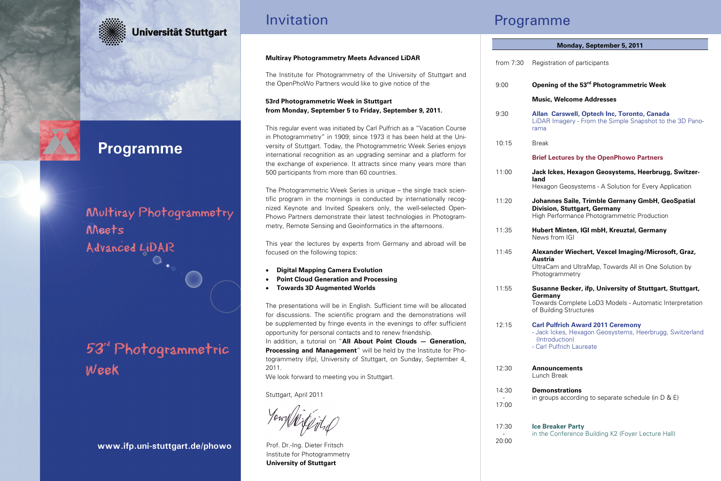

### Universität Stuttgart

## **Programme**

## Multiray Photogrammetry Meets Advanced LIDAR

# 53<sup>rd</sup> Photogrammetric Week

**www.ifp.uni-stuttgart.de/phowo** 

### Invitation

#### **Multiray Photogrammetry Meets Advanced LiDAR**

The Institute for Photogrammetry of the University of Stuttgart and the OpenPhoWo Partners would like to give notice of the

**53rd Photogrammetric Week in Stuttgart from Monday, September 5 to Friday, September 9, 2011.** 

This regular event was initiated by Carl Pulfrich as a "Vacation Course in Photogrammetry" in 1909; since 1973 it has been held at the University of Stuttgart. Today, the Photogrammetric Week Series enjoys international recognition as an upgrading seminar and a platform for the exchange of experience. It attracts since many years more than 500 participants from more than 60 countries.

The Photogrammetric Week Series is unique – the single track scientific program in the mornings is conducted by internationally recognized Keynote and Invited Speakers only, the well-selected Open-Phowo Partners demonstrate their latest technologies in Photogrammetry, Remote Sensing and Geoinformatics in the afternoons.

This year the lectures by experts from Germany and abroad will be focused on the following topics:

- **Digital Mapping Camera Evolution**
- **Point Cloud Generation and Processing**
- **Towards 3D Augmented Worlds**

The presentations will be in English. Sufficient time will be allocated for discussions. The scientific program and the demonstrations will be supplemented by fringe events in the evenings to offer sufficient opportunity for personal contacts and to renew friendship.

In addition, a tutorial on "**All About Point Clouds — Generation, Processing and Management**" will be held by the Institute for Photogrammetry (ifp), University of Stuttgart, on Sunday, September 4, 2011.

We look forward to meeting you in Stuttgart.

Stuttgart, April 2011

Prof. Dr.-Ing. Dieter Fritsch Institute for Photogrammetry **University of Stuttgart** 

### Programme

#### from 7:30 9:00 9:30 10:15 11:00 11:20 11:35 11:45 11:55 12:15 12:30 14:30 - 17:00 Registration of participants **Opening of the 53rd Photogrammetric Week Music, Welcome Addresses Allan Carswell, Optech Inc, Toronto, Canada**  LiDAR Imagery - From the Simple Snapshot to the 3D Panorama Break **Brief Lectures by the OpenPhowo Partners Jack Ickes, Hexagon Geosystems, Heerbrugg, Switzerland**  Hexagon Geosystems - A Solution for Every Application **Johannes Saile, Trimble Germany GmbH, GeoSpatial Division, Stuttgart, Germany**  High Performance Photogrammetric Production **Hubert Minten, IGI mbH, Kreuztal, Germany**  News from IGI **Alexander Wiechert, Vexcel Imaging/Microsoft, Graz, Austria**  UltraCam and UltraMap, Towards All in One Solution by Photogrammetry **Susanne Becker, ifp, University of Stuttgart, Stuttgart, Germany**  Towards Complete LoD3 Models - Automatic Interpretation of Building Structures **Carl Pulfrich Award 2011 Ceremony** - Jack Ickes, Hexagon Geosystems, Heerbrugg, Switzerland (Introduction) - Carl Pulfrich Laureate **Announcements**  Lunch Break **Demonstrations**  in aroups according to separate schedule (in D & E) **Monday, September 5, 2011**

#### **Ice Breaker Party**

17:30 - 20:00

in the Conference Building K2 (Foyer Lecture Hall)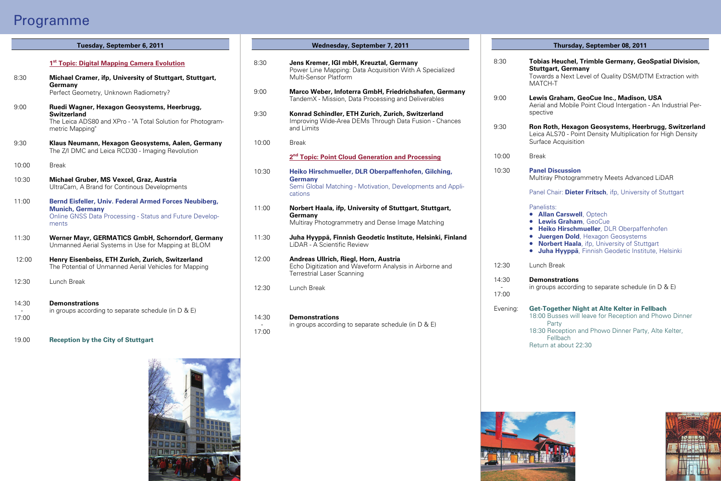### Programme

| Tuesday, September 6, 2011 |                                                                                                                                                              |
|----------------------------|--------------------------------------------------------------------------------------------------------------------------------------------------------------|
|                            | 1 <sup>st</sup> Topic: Digital Mapping Camera Evolution                                                                                                      |
| 8:30                       | Michael Cramer, ifp, University of Stuttgart, Stuttgart,<br>Germany<br>Perfect Geometry, Unknown Radiometry?                                                 |
| 9:00                       | Ruedi Wagner, Hexagon Geosystems, Heerbrugg,<br><b>Switzerland</b><br>The Leica ADS80 and XPro - "A Total Solution for Photogram-<br>metric Mapping"         |
| 9:30                       | Klaus Neumann, Hexagon Geosystems, Aalen, Germany<br>The Z/I DMC and Leica RCD30 - Imaging Revolution                                                        |
| 10:00                      | <b>Break</b>                                                                                                                                                 |
| 10:30                      | Michael Gruber, MS Vexcel, Graz, Austria<br>UltraCam, A Brand for Continous Developments                                                                     |
| 11:00                      | Bernd Eisfeller, Univ. Federal Armed Forces Neubiberg,<br><b>Munich, Germany</b><br><b>Online GNSS Data Processing - Status and Future Develop-</b><br>ments |
| 11:30                      | Werner Mayr, GERMATICS GmbH, Schorndorf, Germany<br>Unmanned Aerial Systems in Use for Mapping at BLOM                                                       |
| 12:00                      | <b>Henry Eisenbeiss, ETH Zurich, Zurich, Switzerland</b><br>The Potential of Unmanned Aerial Vehicles for Mapping                                            |
| 12:30                      | Lunch Break                                                                                                                                                  |
| 14:30                      | <b>Demonstrations</b><br>$\cdots$ $\cdots$ $\cdots$                                                                                                          |

- 17:00 in groups according to separate schedule (in D & E)
- 19.00 **Reception by the City of Stuttgart**



#### **Wednesday, September 7, 2011**

- 8:30 **Jens Kremer, IGI mbH, Kreuztal, Germany**  Power Line Mapping: Data Acquisition With A Specialized Multi-Sensor Platform
- 9:00 **Marco Weber, Infoterra GmbH, Friedrichshafen, Germany**  TandemX - Mission, Data Processing and Deliverables
- 9:30 **Konrad Schindler, ETH Zurich, Zurich, Switzerland**  Improving Wide-Area DEMs Through Data Fusion - Chances and Limits
- 10:00 Break

#### **2nd Topic: Point Cloud Generation and Processing**

- 10:30 **Heiko Hirschmueller, DLR Oberpaffenhofen, Gilching, Germany**  Semi Global Matching - Motivation, Developments and Applications
- 11:00 **Norbert Haala, ifp, University of Stuttgart, Stuttgart, Germany**  Multiray Photogrammetry and Dense Image Matching
- 11:30 **Juha Hyyppä, Finnish Geodetic Institute, Helsinki, Finland**  LiDAR - A Scientific Review
- $12:00$ **Andreas Ullrich, Riegl, Horn, Austria**  Echo Digitization and Waveform Analysis in Airborne and Terrestrial Laser Scanning
- 12:30 Lunch Break

#### 14:30 - **Demonstrations**

17:00 in groups according to separate schedule (in D & E)

#### **Thursday, September 08, 2011**

- 8:30 **Tobias Heuchel, Trimble Germany, GeoSpatial Division, Stuttgart, Germany**  Towards a Next Level of Quality DSM/DTM Extraction with MATCH-T
- 9:00 **Lewis Graham, GeoCue Inc., Madison, USA**  Aerial and Mobile Point Cloud Intergation - An Industrial Perspective
- 9:30 **Ron Roth, Hexagon Geosystems, Heerbrugg, Switzerland**  Leica ALS70 - Point Density Multiplication for High Density Surface Acquisition
- 10:00 Break
- 10:30 **Panel Discussion**  Multiray Photogrammetry Meets Advanced LiDAR

#### Panel Chair: **Dieter Fritsch**, ifp, University of Stuttgart

#### Panelists:

- **Allan Carswell**, Optech
- **Lewis Graham**, GeoCue
- **Heiko Hirschmueller**, DLR Oberpaffenhofen
- **Juergen Dold**, Hexagon Geosystems
- **Norbert Haala**, ifp, University of Stuttgart
- **Juha Hyyppä**, Finnish Geodetic Institute, Helsinki
- 12:30 Lunch Break

14:30 -

### **Demonstrations**

17:00 in groups according to separate schedule (in D & E)

Evening: **Get-Together Night at Alte Kelter in Fellbach**  18:00 Busses will leave for Reception and Phowo Dinner Party 18:30 Reception and Phowo Dinner Party, Alte Kelter, Fellbach Return at about 22:30